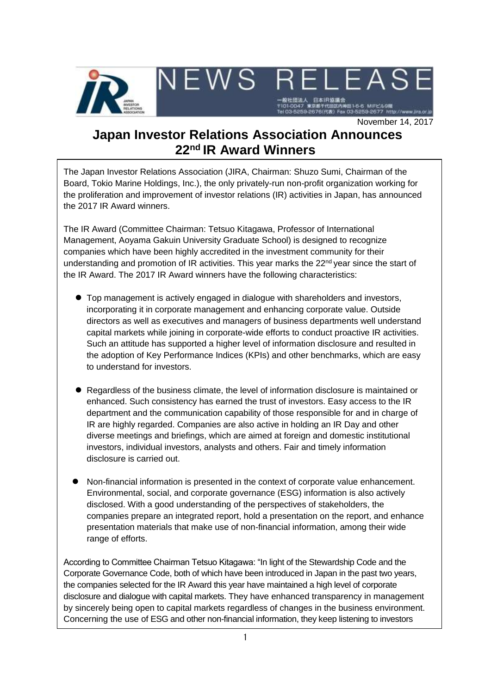

November 14, 2017

# **Japan Investor Relations Association Announces 22 nd IR Award Winners**

The Japan Investor Relations Association (JIRA, Chairman: Shuzo Sumi, Chairman of the Board, Tokio Marine Holdings, Inc.), the only privately-run non-profit organization working for the proliferation and improvement of investor relations (IR) activities in Japan, has announced the 2017 IR Award winners.

The IR Award (Committee Chairman: Tetsuo Kitagawa, Professor of International Management, Aoyama Gakuin University Graduate School) is designed to recognize companies which have been highly accredited in the investment community for their understanding and promotion of IR activities. This year marks the 22<sup>nd</sup> year since the start of the IR Award. The 2017 IR Award winners have the following characteristics:

- Top management is actively engaged in dialogue with shareholders and investors, incorporating it in corporate management and enhancing corporate value. Outside directors as well as executives and managers of business departments well understand capital markets while joining in corporate-wide efforts to conduct proactive IR activities. Such an attitude has supported a higher level of information disclosure and resulted in the adoption of Key Performance Indices (KPIs) and other benchmarks, which are easy to understand for investors.
- Regardless of the business climate, the level of information disclosure is maintained or enhanced. Such consistency has earned the trust of investors. Easy access to the IR department and the communication capability of those responsible for and in charge of IR are highly regarded. Companies are also active in holding an IR Day and other diverse meetings and briefings, which are aimed at foreign and domestic institutional investors, individual investors, analysts and others. Fair and timely information disclosure is carried out.
- Non-financial information is presented in the context of corporate value enhancement. Environmental, social, and corporate governance (ESG) information is also actively disclosed. With a good understanding of the perspectives of stakeholders, the companies prepare an integrated report, hold a presentation on the report, and enhance presentation materials that make use of non-financial information, among their wide range of efforts.

According to Committee Chairman Tetsuo Kitagawa: "In light of the Stewardship Code and the Corporate Governance Code, both of which have been introduced in Japan in the past two years, the companies selected for the IR Award this year have maintained a high level of corporate disclosure and dialogue with capital markets. They have enhanced transparency in management by sincerely being open to capital markets regardless of changes in the business environment. Concerning the use of ESG and other non-financial information, they keep listening to investors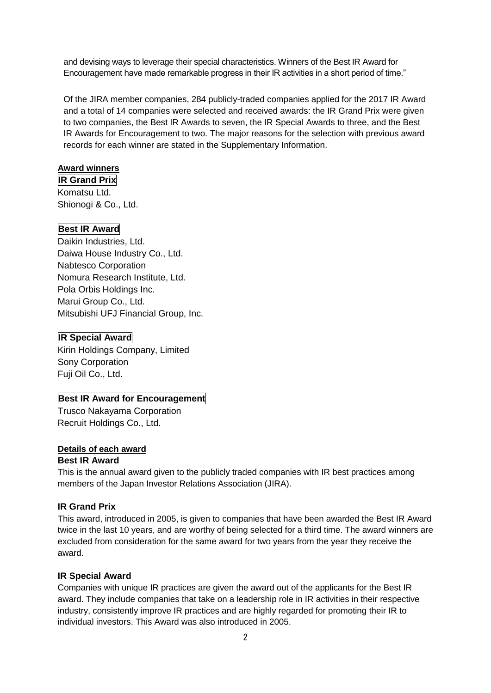and devising ways to leverage their special characteristics. Winners of the Best IR Award for Encouragement have made remarkable progress in their IR activities in a short period of time."

Of the JIRA member companies, 284 publicly-traded companies applied for the 2017 IR Award and a total of 14 companies were selected and received awards: the IR Grand Prix were given to two companies, the Best IR Awards to seven, the IR Special Awards to three, and the Best IR Awards for Encouragement to two. The major reasons for the selection with previous award records for each winner are stated in the Supplementary Information.

## **Award winners**

**IR Grand Prix** Komatsu Ltd. Shionogi & Co., Ltd.

# **Best IR Award**

Daikin Industries, Ltd. Daiwa House Industry Co., Ltd. Nabtesco Corporation Nomura Research Institute, Ltd. Pola Orbis Holdings Inc. Marui Group Co., Ltd. Mitsubishi UFJ Financial Group, Inc.

# **IR Special Award**

Kirin Holdings Company, Limited Sony Corporation Fuji Oil Co., Ltd.

# **Best IR Award for Encouragement**

Trusco Nakayama Corporation Recruit Holdings Co., Ltd.

# **Details of each award**

## **Best IR Award**

This is the annual award given to the publicly traded companies with IR best practices among members of the Japan Investor Relations Association (JIRA).

# **IR Grand Prix**

This award, introduced in 2005, is given to companies that have been awarded the Best IR Award twice in the last 10 years, and are worthy of being selected for a third time. The award winners are excluded from consideration for the same award for two years from the year they receive the award.

# **IR Special Award**

Companies with unique IR practices are given the award out of the applicants for the Best IR award. They include companies that take on a leadership role in IR activities in their respective industry, consistently improve IR practices and are highly regarded for promoting their IR to individual investors. This Award was also introduced in 2005.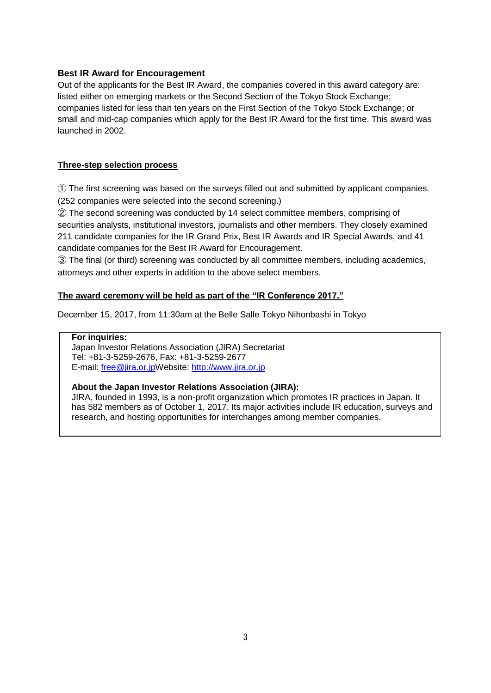## **Best IR Award for Encouragement**

Out of the applicants for the Best IR Award, the companies covered in this award category are: listed either on emerging markets or the Second Section of the Tokyo Stock Exchange; companies listed for less than ten years on the First Section of the Tokyo Stock Exchange; or small and mid-cap companies which apply for the Best IR Award for the first time. This award was launched in 2002.

## **Three-step selection process**

① The first screening was based on the surveys filled out and submitted by applicant companies. (252 companies were selected into the second screening.)

② The second screening was conducted by 14 select committee members, comprising of securities analysts, institutional investors, journalists and other members. They closely examined 211 candidate companies for the IR Grand Prix, Best IR Awards and IR Special Awards, and 41 candidate companies for the Best IR Award for Encouragement.

③ The final (or third) screening was conducted by all committee members, including academics, attorneys and other experts in addition to the above select members.

## **The award ceremony will be held as part of the "IR Conference 2017."**

December 15, 2017, from 11:30am at the Belle Salle Tokyo Nihonbashi in Tokyo

## **For inquiries:**

Japan Investor Relations Association (JIRA) Secretariat Tel: +81-3-5259-2676, Fax: +81-3-5259-2677 E-mail: [free@jira.or.jpW](mailto:free@jira.or.jp)ebsite: [http://www.jira.or.jp](http://www.jira.or.jp/)

## **About the Japan Investor Relations Association (JIRA):**

JIRA, founded in 1993, is a non-profit organization which promotes IR practices in Japan. It has 582 members as of October 1, 2017. Its major activities include IR education, surveys and research, and hosting opportunities for interchanges among member companies.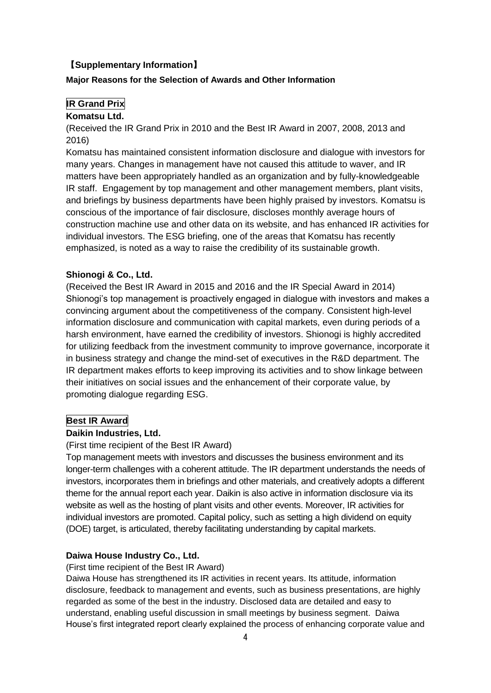## 【**Supplementary Information**】

#### **Major Reasons for the Selection of Awards and Other Information**

## **IR Grand Prix**

#### **Komatsu Ltd.**

(Received the IR Grand Prix in 2010 and the Best IR Award in 2007, 2008, 2013 and 2016)

Komatsu has maintained consistent information disclosure and dialogue with investors for many years. Changes in management have not caused this attitude to waver, and IR matters have been appropriately handled as an organization and by fully-knowledgeable IR staff. Engagement by top management and other management members, plant visits, and briefings by business departments have been highly praised by investors. Komatsu is conscious of the importance of fair disclosure, discloses monthly average hours of construction machine use and other data on its website, and has enhanced IR activities for individual investors. The ESG briefing, one of the areas that Komatsu has recently emphasized, is noted as a way to raise the credibility of its sustainable growth.

## **Shionogi & Co., Ltd.**

(Received the Best IR Award in 2015 and 2016 and the IR Special Award in 2014) Shionogi's top management is proactively engaged in dialogue with investors and makes a convincing argument about the competitiveness of the company. Consistent high-level information disclosure and communication with capital markets, even during periods of a harsh environment, have earned the credibility of investors. Shionogi is highly accredited for utilizing feedback from the investment community to improve governance, incorporate it in business strategy and change the mind-set of executives in the R&D department. The IR department makes efforts to keep improving its activities and to show linkage between their initiatives on social issues and the enhancement of their corporate value, by promoting dialogue regarding ESG.

## **Best IR Award**

#### **Daikin Industries, Ltd.**

## (First time recipient of the Best IR Award)

Top management meets with investors and discusses the business environment and its longer-term challenges with a coherent attitude. The IR department understands the needs of investors, incorporates them in briefings and other materials, and creatively adopts a different theme for the annual report each year. Daikin is also active in information disclosure via its website as well as the hosting of plant visits and other events. Moreover, IR activities for individual investors are promoted. Capital policy, such as setting a high dividend on equity (DOE) target, is articulated, thereby facilitating understanding by capital markets.

## **Daiwa House Industry Co., Ltd.**

(First time recipient of the Best IR Award)

Daiwa House has strengthened its IR activities in recent years. Its attitude, information disclosure, feedback to management and events, such as business presentations, are highly regarded as some of the best in the industry. Disclosed data are detailed and easy to understand, enabling useful discussion in small meetings by business segment. Daiwa House's first integrated report clearly explained the process of enhancing corporate value and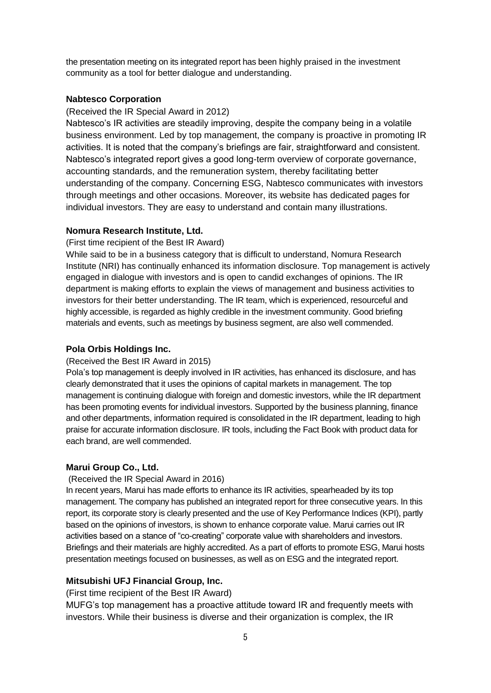the presentation meeting on its integrated report has been highly praised in the investment community as a tool for better dialogue and understanding.

## **Nabtesco Corporation**

#### (Received the IR Special Award in 2012)

Nabtesco's IR activities are steadily improving, despite the company being in a volatile business environment. Led by top management, the company is proactive in promoting IR activities. It is noted that the company's briefings are fair, straightforward and consistent. Nabtesco's integrated report gives a good long-term overview of corporate governance, accounting standards, and the remuneration system, thereby facilitating better understanding of the company. Concerning ESG, Nabtesco communicates with investors through meetings and other occasions. Moreover, its website has dedicated pages for individual investors. They are easy to understand and contain many illustrations.

#### **Nomura Research Institute, Ltd.**

(First time recipient of the Best IR Award)

While said to be in a business category that is difficult to understand, Nomura Research Institute (NRI) has continually enhanced its information disclosure. Top management is actively engaged in dialogue with investors and is open to candid exchanges of opinions. The IR department is making efforts to explain the views of management and business activities to investors for their better understanding. The IR team, which is experienced, resourceful and highly accessible, is regarded as highly credible in the investment community. Good briefing materials and events, such as meetings by business segment, are also well commended.

#### **Pola Orbis Holdings Inc.**

#### (Received the Best IR Award in 2015)

Pola's top management is deeply involved in IR activities, has enhanced its disclosure, and has clearly demonstrated that it uses the opinions of capital markets in management. The top management is continuing dialogue with foreign and domestic investors, while the IR department has been promoting events for individual investors. Supported by the business planning, finance and other departments, information required is consolidated in the IR department, leading to high praise for accurate information disclosure. IR tools, including the Fact Book with product data for each brand, are well commended.

#### **Marui Group Co., Ltd.**

#### (Received the IR Special Award in 2016)

In recent years, Marui has made efforts to enhance its IR activities, spearheaded by its top management. The company has published an integrated report for three consecutive years. In this report, its corporate story is clearly presented and the use of Key Performance Indices (KPI), partly based on the opinions of investors, is shown to enhance corporate value. Marui carries out IR activities based on a stance of "co-creating" corporate value with shareholders and investors. Briefings and their materials are highly accredited. As a part of efforts to promote ESG, Marui hosts presentation meetings focused on businesses, as well as on ESG and the integrated report.

## **Mitsubishi UFJ Financial Group, Inc.**

(First time recipient of the Best IR Award)

MUFG's top management has a proactive attitude toward IR and frequently meets with investors. While their business is diverse and their organization is complex, the IR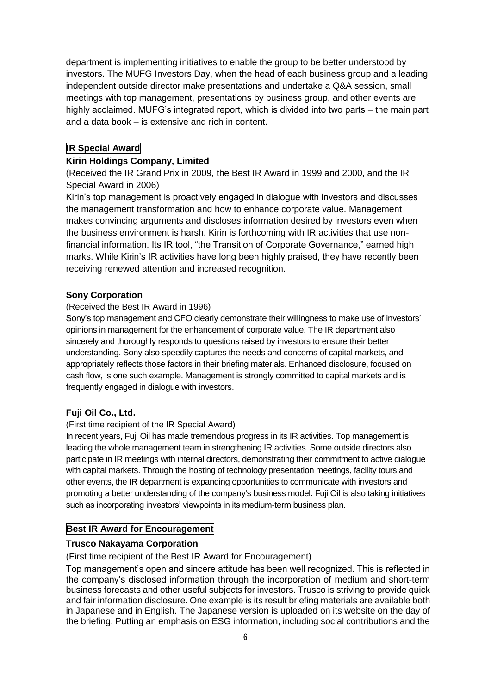department is implementing initiatives to enable the group to be better understood by investors. The MUFG Investors Day, when the head of each business group and a leading independent outside director make presentations and undertake a Q&A session, small meetings with top management, presentations by business group, and other events are highly acclaimed. MUFG's integrated report, which is divided into two parts – the main part and a data book – is extensive and rich in content.

# **IR Special Award**

# **Kirin Holdings Company, Limited**

(Received the IR Grand Prix in 2009, the Best IR Award in 1999 and 2000, and the IR Special Award in 2006)

Kirin's top management is proactively engaged in dialogue with investors and discusses the management transformation and how to enhance corporate value. Management makes convincing arguments and discloses information desired by investors even when the business environment is harsh. Kirin is forthcoming with IR activities that use nonfinancial information. Its IR tool, "the Transition of Corporate Governance," earned high marks. While Kirin's IR activities have long been highly praised, they have recently been receiving renewed attention and increased recognition.

# **Sony Corporation**

# (Received the Best IR Award in 1996)

Sony's top management and CFO clearly demonstrate their willingness to make use of investors' opinions in management for the enhancement of corporate value. The IR department also sincerely and thoroughly responds to questions raised by investors to ensure their better understanding. Sony also speedily captures the needs and concerns of capital markets, and appropriately reflects those factors in their briefing materials. Enhanced disclosure, focused on cash flow, is one such example. Management is strongly committed to capital markets and is frequently engaged in dialogue with investors.

# **Fuji Oil Co., Ltd.**

# (First time recipient of the IR Special Award)

In recent years, Fuji Oil has made tremendous progress in its IR activities. Top management is leading the whole management team in strengthening IR activities. Some outside directors also participate in IR meetings with internal directors, demonstrating their commitment to active dialogue with capital markets. Through the hosting of technology presentation meetings, facility tours and other events, the IR department is expanding opportunities to communicate with investors and promoting a better understanding of the company's business model. Fuji Oil is also taking initiatives such as incorporating investors' viewpoints in its medium-term business plan.

# **Best IR Award for Encouragement**

# **Trusco Nakayama Corporation**

(First time recipient of the Best IR Award for Encouragement)

Top management's open and sincere attitude has been well recognized. This is reflected in the company's disclosed information through the incorporation of medium and short-term business forecasts and other useful subjects for investors. Trusco is striving to provide quick and fair information disclosure. One example is its result briefing materials are available both in Japanese and in English. The Japanese version is uploaded on its website on the day of the briefing. Putting an emphasis on ESG information, including social contributions and the